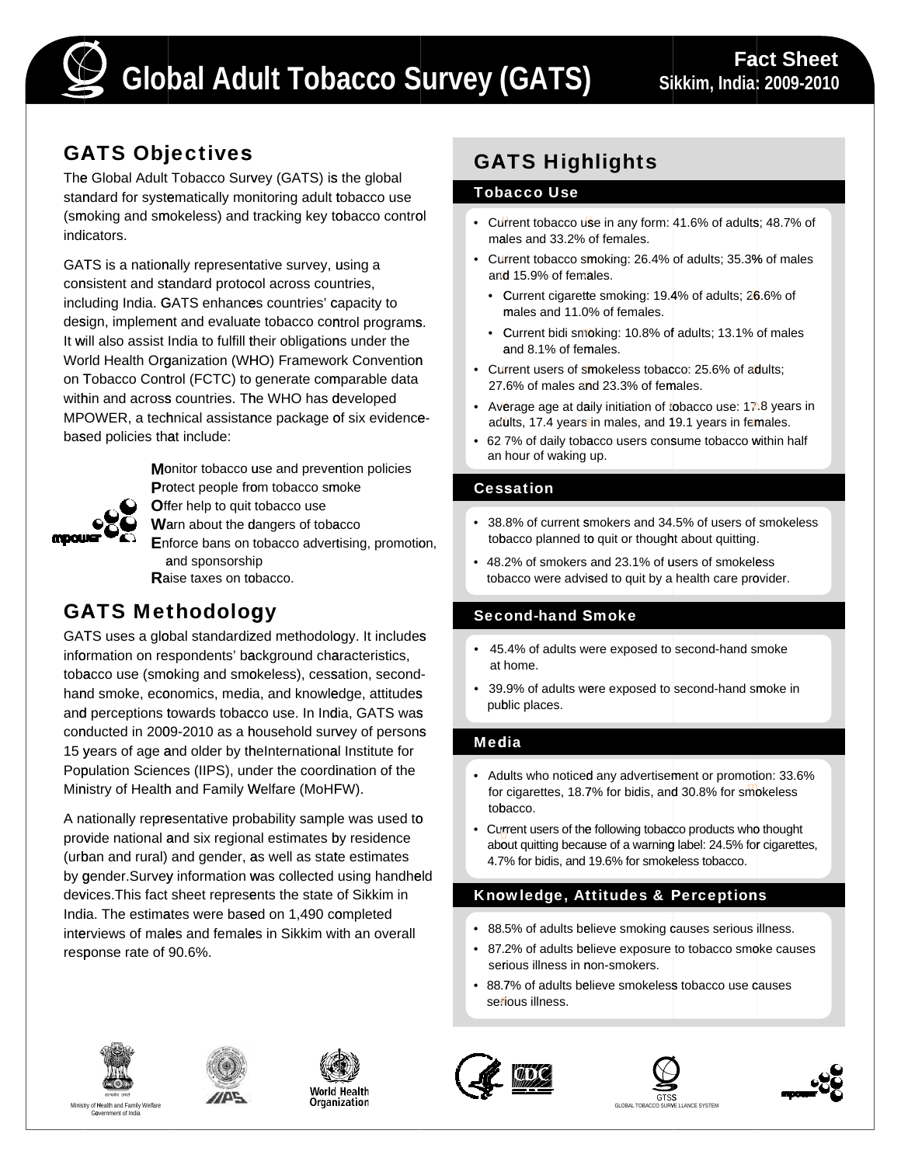

## GATS Objectives

The Global Adult Tobacco Survey (GATS) is the global standard for systematically monitoring adult tobacco use (smoking and smokeless) and tracking key tobacco control indicators.

GATS is a nationally representative survey, using a consistent and standard protocol across countries, including India. GATS enhances countries' capacity to design, implement and evaluate tobacco control programs. It will also assist India to fulfill their obligations under the World Health Organization (WHO) Framework Convention on Tobacco Control (FCTC) to generate comparable data within and across countries. The WHO has developed MPOWER, a technical assistance package of six evidencebased policies that include:



**M**onitor tobacco use and prevention policies Protect people from tobacco smoke **Offer help to quit tobacco use** 

**W**arn about the dangers of tobacco

**E**nforce bans on tobacco advertising, promotion, and sponsorship **R**aise taxes on tobacco.

# GATS Methodology

GATS uses a global standardized methodology. It includes information on respondents' background characteristics, tobacco use (smoking and smokeless), cessation, secondhand smoke, economics, media, and knowledge, attitudes and perceptions towards tobacco use. In India, GATS was conducted in 2009-2010 as a household survey of persons 15 years of age and older by theInternational Institute for Population Sciences (IIPS), under the coordination of the Ministry of Health and Family Welfare (MoHFW).

A nationally representative probability sample was used to provide national and six regional estimates by residence (urban and rural) and gender, as well as state estimates by gender.Survey information was collected using handheld devices.This fact sheet represents the state of Sikkim in India. The estimates were based on 1,490 completed interviews of males and females in Sikkim with an overall response rate of 90.6%.

# GATS Highlights

#### Tobacco Use

- Current tobacco use in any form: 41.6% of adults; 48.7% of males and 33.2% of females.
- Current tobacco smoking: 26.4% of adults; 35.3% of males and 15.9% of females.
	- Current cigarette smoking: 19.4% of adults; 26.6% of males and 11.0% of females.
	- Current bidi smoking: 10.8% of adults; 13.1% of males and 8.1% of females.
- Current users of smokeless tobacco: 25.6% of adults: 27.6% of males and 23.3% of females.
- Average age at daily initiation of tobacco use:  $17.8$  years in adults, 17.4 years in males, and 19.1 years in females.
- 62 7% of daily tobacco users consume tobacco within half an hour of waking up.

## Cessation

- 38.8% of current smokers and 34.5% of users of smokeless tobacco planned to quit or thought about quitting.
- 48.2% of smokers and 23.1% of users of smokeless tobacco were advised to quit by a health care provider.

## Second-hand Smoke

- 45.4% of adults were exposed to second-hand smoke at home.
- 39.9% of adults were exposed to second-hand smoke in public places.

## Media

- Adults who noticed any advertisement or promotion: 33.6% for cigarettes, 18.7% for bidis, and 30.8% for smokeless
- tobacco.<br>
 Current users of the following tobacco products who thought<br>
about quitting because of a warning label: 24.5% for cigarettes,<br>
4.7% for bidis, and 19.6% for smokeless tobacco.

## Knowledge, Attitudes & Perceptions

- 88.5% of adults believe smoking causes serious illness.
- 87.2% of adults believe exposure to tobacco smoke causes serious illness in non-smokers.
- 88.7% of adults believe smokeless tobacco use causes serious illness.













**CONSTRUCT AND CONSTRUCT CONSTRUCT CONSTRUCT CONSTRUCT CONSTRUCT CONSTRUCT CONSTRUCT CONSTRUCT CONSTRUCT CONSTRU<br>
CLOBAL TOBACCO SURVE LLANCE SYSTEM**